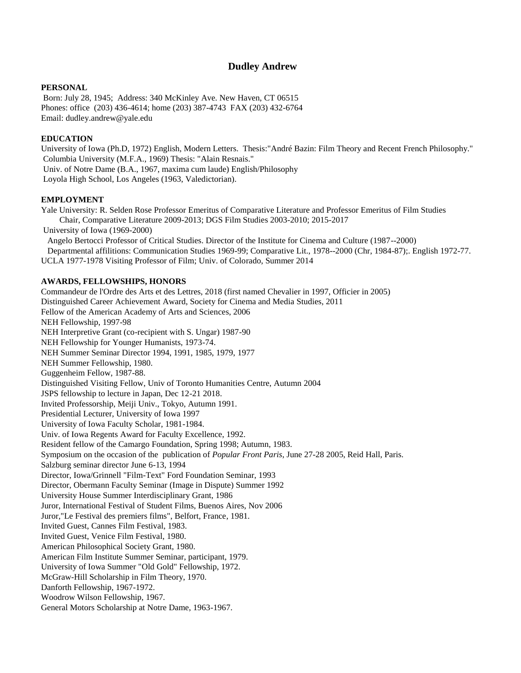# **Dudley Andrew**

### **PERSONAL**

Born: July 28, 1945; Address: 340 McKinley Ave. New Haven, CT 06515 Phones: office (203) 436-4614; home (203) 387-4743 FAX (203) 432-6764 Email: dudley.andrew@yale.edu

### **EDUCATION**

University of Iowa (Ph.D, 1972) English, Modern Letters. Thesis:"André Bazin: Film Theory and Recent French Philosophy." Columbia University (M.F.A., 1969) Thesis: "Alain Resnais." Univ. of Notre Dame (B.A., 1967, maxima cum laude) English/Philosophy Loyola High School, Los Angeles (1963, Valedictorian).

### **EMPLOYMENT**

Yale University: R. Selden Rose Professor Emeritus of Comparative Literature and Professor Emeritus of Film Studies Chair, Comparative Literature 2009-2013; DGS Film Studies 2003-2010; 2015-2017 University of Iowa (1969-2000)

 Angelo Bertocci Professor of Critical Studies. Director of the Institute for Cinema and Culture (1987--2000) Departmental affilitions: Communication Studies 1969-99; Comparative Lit., 1978--2000 (Chr, 1984-87);. English 1972-77. UCLA 1977-1978 Visiting Professor of Film; Univ. of Colorado, Summer 2014

### **AWARDS, FELLOWSHIPS, HONORS**

Commandeur de l'Ordre des Arts et des Lettres, 2018 (first named Chevalier in 1997, Officier in 2005) Distinguished Career Achievement Award, Society for Cinema and Media Studies, 2011 Fellow of the American Academy of Arts and Sciences, 2006 NEH Fellowship, 1997-98 NEH Interpretive Grant (co-recipient with S. Ungar) 1987-90 NEH Fellowship for Younger Humanists, 1973-74. NEH Summer Seminar Director 1994, 1991, 1985, 1979, 1977 NEH Summer Fellowship, 1980. Guggenheim Fellow, 1987-88. Distinguished Visiting Fellow, Univ of Toronto Humanities Centre, Autumn 2004 JSPS fellowship to lecture in Japan, Dec 12-21 2018. Invited Professorship, Meiji Univ., Tokyo, Autumn 1991. Presidential Lecturer, University of Iowa 1997 University of Iowa Faculty Scholar, 1981-1984. Univ. of Iowa Regents Award for Faculty Excellence, 1992. Resident fellow of the Camargo Foundation, Spring 1998; Autumn, 1983. Symposium on the occasion of the publication of *Popular Front Paris*, June 27-28 2005, Reid Hall, Paris. Salzburg seminar director June 6-13, 1994 Director, Iowa/Grinnell "Film-Text" Ford Foundation Seminar, 1993 Director, Obermann Faculty Seminar (Image in Dispute) Summer 1992 University House Summer Interdisciplinary Grant, 1986 Juror, International Festival of Student Films, Buenos Aires, Nov 2006 Juror,"Le Festival des premiers films", Belfort, France, 1981. Invited Guest, Cannes Film Festival, 1983. Invited Guest, Venice Film Festival, 1980. American Philosophical Society Grant, 1980. American Film Institute Summer Seminar, participant, 1979. University of Iowa Summer "Old Gold" Fellowship, 1972. McGraw-Hill Scholarship in Film Theory, 1970. Danforth Fellowship, 1967-1972. Woodrow Wilson Fellowship, 1967. General Motors Scholarship at Notre Dame, 1963-1967.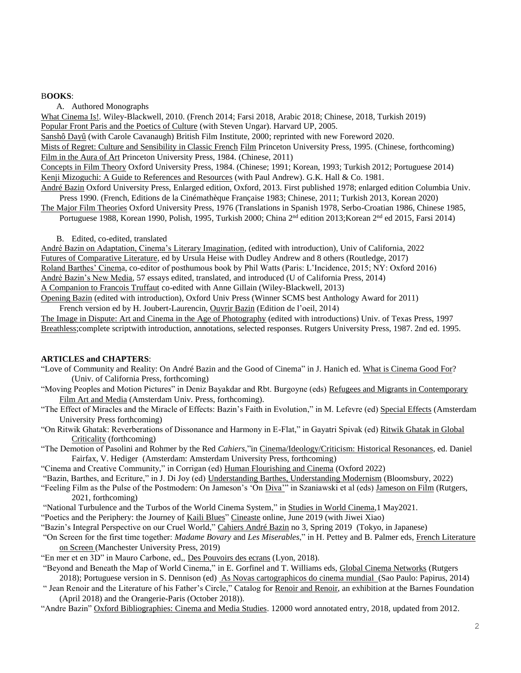#### B**OOKS**:

A. Authored Monographs

What Cinema Is!. Wiley-Blackwell, 2010. (French 2014; Farsi 2018, Arabic 2018; Chinese, 2018, Turkish 2019) Popular Front Paris and the Poetics of Culture (with Steven Ungar). Harvard UP, 2005. Sanshô Dayû (with Carole Cavanaugh) British Film Institute, 2000; reprinted with new Foreword 2020. Mists of Regret: Culture and Sensibility in Classic French Film Princeton University Press, 1995. (Chinese, forthcoming) Film in the Aura of Art Princeton University Press, 1984. (Chinese, 2011) Concepts in Film Theory Oxford University Press, 1984. (Chinese; 1991; Korean, 1993; Turkish 2012; Portuguese 2014)

Kenji Mizoguchi: A Guide to References and Resources (with Paul Andrew). G.K. Hall & Co. 1981.

André Bazin Oxford University Press, Enlarged edition, Oxford, 2013. First published 1978; enlarged edition Columbia Univ. Press 1990. (French, Editions de la Cinémathèque Française 1983; Chinese, 2011; Turkish 2013, Korean 2020)

The Major Film Theories Oxford University Press, 1976 (Translations in Spanish 1978, Serbo-Croatian 1986, Chinese 1985, Portuguese 1988, Korean 1990, Polish, 1995, Turkish 2000; China 2<sup>nd</sup> edition 2013; Korean 2<sup>nd</sup> ed 2015, Farsi 2014)

B. Edited, co-edited, translated

André Bazin on Adaptation, Cinema's Literary Imagination, (edited with introduction), Univ of California, 2022 Futures of Comparative Literature, ed by Ursula Heise with Dudley Andrew and 8 others (Routledge, 2017) Roland Barthes' Cinema, co-editor of posthumous book by Phil Watts (Paris: L'Incidence, 2015; NY: Oxford 2016) André Bazin's New Media, 57 essays edited, translated, and introduced (U of California Press, 2014) A Companion to Francois Truffaut co-edited with Anne Gillain (Wiley-Blackwell, 2013)

Opening Bazin (edited with introduction), Oxford Univ Press (Winner SCMS best Anthology Award for 2011) French version ed by H. Joubert-Laurencin, Ouvrir Bazin (Edition de l'oeil, 2014)

The Image in Dispute: Art and Cinema in the Age of Photography (edited with introductions) Univ. of Texas Press, 1997 Breathless;complete scriptwith introduction, annotations, selected responses. Rutgers University Press, 1987. 2nd ed. 1995.

#### **ARTICLES and CHAPTERS**:

- "Love of Community and Reality: On André Bazin and the Good of Cinema" in J. Hanich ed. What is Cinema Good For? (Univ. of California Press, forthcoming)
- "Moving Peoples and Motion Pictures" in Deniz Bayakdar and Rbt. Burgoyne (eds) Refugees and Migrants in Contemporary Film Art and Media (Amsterdam Univ. Press, forthcoming).
- "The Effect of Miracles and the Miracle of Effects: Bazin's Faith in Evolution," in M. Lefevre (ed) Special Effects (Amsterdam University Press forthcoming)
- "On Ritwik Ghatak: Reverberations of Dissonance and Harmony in E-Flat," in Gayatri Spivak (ed) Ritwik Ghatak in Global Criticality (forthcoming)
- "The Demotion of Pasolini and Rohmer by the Red *Cahiers*,"in Cinema/Ideology/Criticism: Historical Resonances, ed. Daniel Fairfax, V. Hediger (Amsterdam: Amsterdam University Press, forthcoming)
- "Cinema and Creative Community," in Corrigan (ed) Human Flourishing and Cinema (Oxford 2022)
- "Bazin, Barthes, and Ecriture," in J. Di Joy (ed) Understanding Barthes, Understanding Modernism (Bloomsbury, 2022)
- "Feeling Film as the Pulse of the Postmodern: On Jameson's 'On Diva'" in Szaniawski et al (eds) Jameson on Film (Rutgers, 2021, forthcoming)
- "National Turbulence and the Turbos of the World Cinema System," in Studies in World Cinema,1 May2021.
- "Poetics and the Periphery: the Journey of Kaili Blues" Cineaste online, June 2019 (with Jiwei Xiao)
- "Bazin's Integral Perspective on our Cruel World," Cahiers André Bazin no 3, Spring 2019 (Tokyo, in Japanese)
- "On Screen for the first time together: *Madame Bovary* and *Les Miserables*," in H. Pettey and B. Palmer eds, French Literature on Screen (Manchester University Press, 2019)
- "En mer et en 3D" in Mauro Carbone, ed,, Des Pouvoirs des ecrans (Lyon, 2018).

"Beyond and Beneath the Map of World Cinema," in E. Gorfinel and T. Williams eds, Global Cinema Networks (Rutgers 2018); Portuguese version in S. Dennison (ed) As Novas cartographicos do cinema mundial (Sao Paulo: Papirus, 2014)

" Jean Renoir and the Literature of his Father's Circle," Catalog for Renoir and Renoir, an exhibition at the Barnes Foundation (April 2018) and the Orangerie-Paris (October 2018)).

"Andre Bazin" Oxford Bibliographies: Cinema and Media Studies. 12000 word annotated entry, 2018, updated from 2012.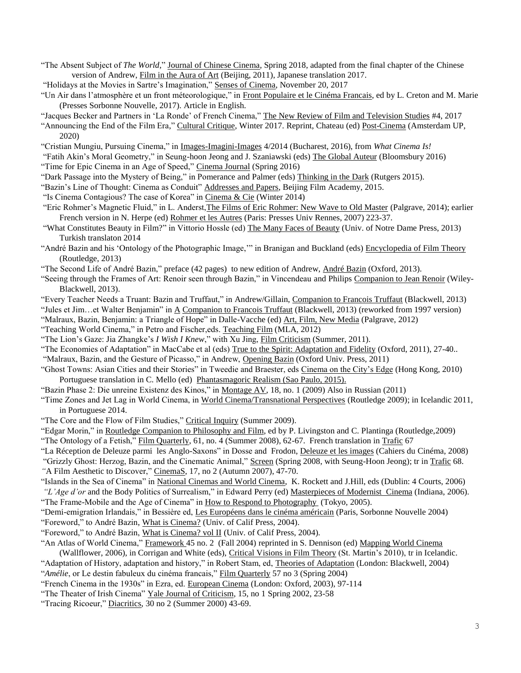"The Absent Subject of *The World,*" Journal of Chinese Cinema, Spring 2018, adapted from the final chapter of the Chinese version of Andrew, Film in the Aura of Art (Beijing, 2011), Japanese translation 2017.

"Holidays at the Movies in Sartre's Imagination," Senses of Cinema, November 20, 2017

"Un Air dans l'atmosphère et un front méteorologique," in Front Populaire et le Cinéma Francais, ed by L. Creton and M. Marie (Presses Sorbonne Nouvelle, 2017). Article in English.

"Jacques Becker and Partners in 'La Ronde' of French Cinema," The New Review of Film and Television Studies #4, 2017

"Announcing the End of the Film Era," Cultural Critique, Winter 2017. Reprint, Chateau (ed) Post-Cinema (Amsterdam UP, 2020)

"Cristian Mungiu, Pursuing Cinema," in Images-Imagini-Images 4/2014 (Bucharest, 2016), from *What Cinema Is!*

"Fatih Akin's Moral Geometry," in Seung-hoon Jeong and J. Szaniawski (eds) The Global Auteur (Bloomsbury 2016)

"Time for Epic Cinema in an Age of Speed," Cinema Journal (Spring 2016)

"Dark Passage into the Mystery of Being," in Pomerance and Palmer (eds) Thinking in the Dark (Rutgers 2015).

"Bazin's Line of Thought: Cinema as Conduit" Addresses and Papers, Beijing Film Academy, 2015.

"Is Cinema Contagious? The case of Korea" in Cinema & Cie (Winter 2014)

"Eric Rohmer's Magnetic Fluid," in L. Anderst,The Films of Eric Rohmer: New Wave to Old Master (Palgrave, 2014); earlier French version in N. Herpe (ed) Rohmer et les Autres (Paris: Presses Univ Rennes, 2007) 223-37.

- "What Constitutes Beauty in Film?" in Vittorio Hossle (ed) The Many Faces of Beauty (Univ. of Notre Dame Press, 2013) Turkish translaton 2014
- "André Bazin and his 'Ontology of the Photographic Image,"" in Branigan and Buckland (eds) Encyclopedia of Film Theory (Routledge, 2013)
- "The Second Life of André Bazin," preface (42 pages) to new edition of Andrew, André Bazin (Oxford, 2013).

"Seeing through the Frames of Art: Renoir seen through Bazin," in Vincendeau and Philips Companion to Jean Renoir (Wiley-Blackwell, 2013).

- "Every Teacher Needs a Truant: Bazin and Truffaut," in Andrew/Gillain, Companion to Francois Truffaut (Blackwell, 2013)
- "Jules et Jim…et Walter Benjamin" in A Companion to Francois Truffaut (Blackwell, 2013) (reworked from 1997 version)
- "Malraux, Bazin, Benjamin: a Triangle of Hope" in Dalle-Vacche (ed) Art, Film, New Media (Palgrave, 2012)
- "Teaching World Cinema," in Petro and Fischer,eds. Teaching Film (MLA, 2012)
- "The Lion's Gaze: Jia Zhangke's *I Wish I Knew*," with Xu Jing, Film Criticism (Summer, 2011).
- "The Economies of Adaptation" in MacCabe et al (eds) True to the Spirit: Adaptation and Fidelity (Oxford, 2011), 27-40..
- "Malraux, Bazin, and the Gesture of Picasso," in Andrew, Opening Bazin (Oxford Univ. Press, 2011)
- "Ghost Towns: Asian Cities and their Stories" in Tweedie and Braester, eds Cinema on the City's Edge (Hong Kong, 2010) Portuguese translation in C. Mello (ed) Phantasmagoric Realism (Sao Paulo, 2015).
- "Bazin Phase 2: Die unreine Existenz des Kinos," in Montage AV, 18, no. 1 (2009) Also in Russian (2011)

"Time Zones and Jet Lag in World Cinema, in World Cinema/Transnational Perspectives (Routledge 2009); in Icelandic 2011, in Portuguese 2014.

- "The Core and the Flow of Film Studies," Critical Inquiry (Summer 2009).
- "Edgar Morin," in Routledge Companion to Philosophy and Film, ed by P. Livingston and C. Plantinga (Routledge,2009)
- "The Ontology of a Fetish," Film Quarterly, 61, no. 4 (Summer 2008), 62-67. French translation in Trafic 67
- "La Réception de Deleuze parmi les Anglo-Saxons" in Dosse and Frodon, Deleuze et les images (Cahiers du Cinéma, 2008)

"Grizzly Ghost: Herzog, Bazin, and the Cinematic Animal," Screen (Spring 2008, with Seung-Hoon Jeong); tr in Trafic 68. *"*A Film Aesthetic to Discover," CinemaS, 17, no 2 (Autumn 2007), 47-70.

"Islands in the Sea of Cinema" in National Cinemas and World Cinema, K. Rockett and J.Hill, eds (Dublin: 4 Courts, 2006) *"L'Age d'or* and the Body Politics of Surrealism," in Edward Perry (ed) Masterpieces of Modernist Cinema (Indiana, 2006). "The Frame-Mobile and the Age of Cinema" in How to Respond to Photography (Tokyo, 2005).

- "Demi-emigration Irlandais," in Bessière ed, Les Européens dans le cinéma américain (Paris, Sorbonne Nouvelle 2004) "Foreword," to André Bazin, What is Cinema? (Univ. of Calif Press, 2004).
- "Foreword," to André Bazin, What is Cinema? vol II (Univ. of Calif Press, 2004).
- "An Atlas of World Cinema," Framework 45 no. 2 (Fall 2004) reprinted in S. Dennison (ed) Mapping World Cinema

(Wallflower, 2006), in Corrigan and White (eds), Critical Visions in Film Theory (St. Martin's 2010), tr in Icelandic.

"Adaptation of History, adaptation and history," in Robert Stam, ed, Theories of Adaptation (London: Blackwell, 2004) "*Amélie*, or Le destin fabuleux du cinéma francais," Film Quarterly 57 no 3 (Spring 2004)

- "French Cinema in the 1930s" in Ezra, ed. European Cinema (London: Oxford, 2003), 97-114
- "The Theater of Irish Cinema" Yale Journal of Criticism, 15, no 1 Spring 2002, 23-58
- "Tracing Ricoeur," Diacritics, 30 no 2 (Summer 2000) 43-69.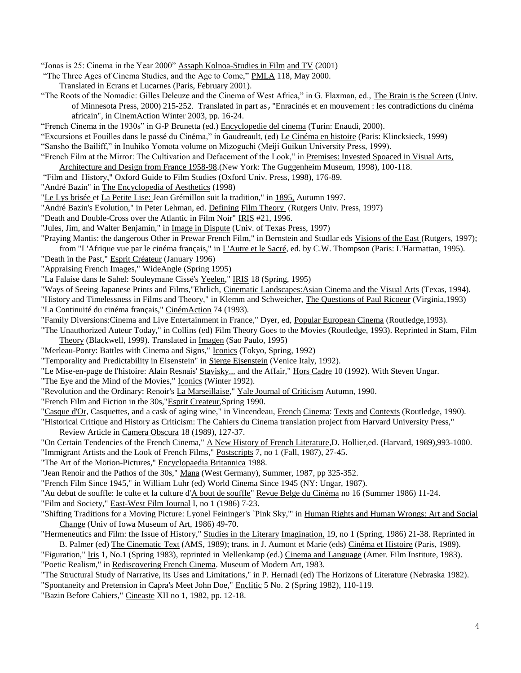"Jonas is 25: Cinema in the Year 2000" Assaph Kolnoa-Studies in Film and TV (2001)

"The Three Ages of Cinema Studies, and the Age to Come," PMLA 118, May 2000.

Translated in Ecrans et Lucarnes (Paris, February 2001).

"The Roots of the Nomadic: Gilles Deleuze and the Cinema of West Africa," in G. Flaxman, ed., The Brain is the Screen (Univ. of Minnesota Press, 2000) 215-252. Translated in part as,"Enracinés et en mouvement : les contradictions du cinéma africain"*,* in CinemAction Winter 2003, pp. 16-24.

"French Cinema in the 1930s" in G-P Brunetta (ed.) Encyclopedie del cinema (Turin: Enaudi, 2000).

"Excursions et Fouilles dans le passé du Cinéma," in Gaudreault, (ed) Le Cinéma en histoire (Paris: Klincksieck, 1999) "Sansho the Bailiff," in Inuhiko Yomota volume on Mizoguchi (Meiji Guikun University Press, 1999).

- "French Film at the Mirror: The Cultivation and Defacement of the Look," in Premises: Invested Spoaced in Visual Arts,
- Architecture and Design from France 1958-98.(New York: The Guggenheim Museum, 1998), 100-118.
- "Film and History," Oxford Guide to Film Studies (Oxford Univ. Press, 1998), 176-89.
- "André Bazin" in The Encyclopedia of Aesthetics (1998)
- "Le Lys brisée et La Petite Lise: Jean Grémillon suit la tradition," in 1895, Autumn 1997.
- "André Bazin's Evolution," in Peter Lehman, ed. Defining Film Theory (Rutgers Univ. Press, 1997)
- "Death and Double-Cross over the Atlantic in Film Noir" IRIS #21, 1996.
- "Jules, Jim, and Walter Benjamin," in *Image in Dispute* (Univ. of Texas Press, 1997)

"Praying Mantis: the dangerous Other in Prewar French Film," in Bernstein and Studlar eds Visions of the East (Rutgers, 1997); from "L'Afrique vue par le cinéma français," in L'Autre et le Sacré, ed. by C.W. Thompson (Paris: L'Harmattan, 1995).

- "Death in the Past," Esprit Créateur (January 1996)
- "Appraising French Images," WideAngle (Spring 1995)
- "La Falaise dans le Sahel: Souleymane Cissé's Yeelen," IRIS 18 (Spring, 1995)
- "Ways of Seeing Japanese Prints and Films,"Ehrlich, Cinematic Landscapes:Asian Cinema and the Visual Arts (Texas, 1994).

"History and Timelessness in Films and Theory," in Klemm and Schweicher, The Questions of Paul Ricoeur (Virginia, 1993) "La Continuité du cinéma français," CinémAction 74 (1993).

- "Family Diversions:Cinema and Live Entertainment in France," Dyer, ed, Popular European Cinema (Routledge,1993).
- "The Unauthorized Auteur Today," in Collins (ed) Film Theory Goes to the Movies (Routledge, 1993). Reprinted in Stam, Film Theory (Blackwell, 1999). Translated in Imagen (Sao Paulo, 1995)
- "Merleau-Ponty: Battles with Cinema and Signs," Iconics (Tokyo, Spring, 1992)
- "Temporality and Predictability in Eisenstein" in Sjerge Ejsenstein (Venice Italy, 1992).
- "Le Mise-en-page de l'histoire: Alain Resnais' Stavisky... and the Affair," Hors Cadre 10 (1992). With Steven Ungar.
- "The Eye and the Mind of the Movies," Iconics (Winter 1992).
- "Revolution and the Ordinary: Renoir's La Marseillaise," Yale Journal of Criticism Autumn, 1990.
- "French Film and Fiction in the 30s,"Esprit Createur,Spring 1990.

"Casque d'Or, Casquettes, and a cask of aging wine," in Vincendeau, French Cinema: Texts and Contexts (Routledge, 1990).

"Historical Critique and History as Criticism: The Cahiers du Cinema translation project from Harvard University Press," Review Article in Camera Obscura 18 (1989), 127-37.

"On Certain Tendencies of the French Cinema," A New History of French Literature,D. Hollier,ed. (Harvard, 1989),993-1000. "Immigrant Artists and the Look of French Films," Postscripts 7, no 1 (Fall, 1987), 27-45.

- "The Art of the Motion-Pictures," Encyclopaedia Britannica 1988.
- "Jean Renoir and the Pathos of the 30s," Mana (West Germany), Summer, 1987, pp 325-352.

"French Film Since 1945," in William Luhr (ed) World Cinema Since 1945 (NY: Ungar, 1987).

"Au debut de souffle: le culte et la culture d'A bout de souffle" Revue Belge du Cinéma no 16 (Summer 1986) 11-24.

"Film and Society," East-West Film Journal I, no 1 (1986) 7-23.

- "Shifting Traditions for a Moving Picture: Lyonel Feininger's `Pink Sky," in Human Rights and Human Wrongs: Art and Social Change (Univ of Iowa Museum of Art, 1986) 49-70.
- "Hermeneutics and Film: the Issue of History," Studies in the Literary Imagination, 19, no 1 (Spring, 1986) 21-38. Reprinted in B. Palmer (ed) The Cinematic Text (AMS, 1989); trans. in J. Aumont et Marie (eds) Cinéma et Histoire (Paris, 1989).

"Figuration," Iris 1, No.1 (Spring 1983), reprinted in Mellenkamp (ed.) Cinema and Language (Amer. Film Institute, 1983). "Poetic Realism," in Rediscovering French Cinema. Museum of Modern Art, 1983.

"The Structural Study of Narrative, its Uses and Limitations," in P. Hernadi (ed) The Horizons of Literature (Nebraska 1982). "Spontaneity and Pretension in Capra's Meet John Doe," Enclitic 5 No. 2 (Spring 1982), 110-119.

"Bazin Before Cahiers," Cineaste XII no 1, 1982, pp. 12-18.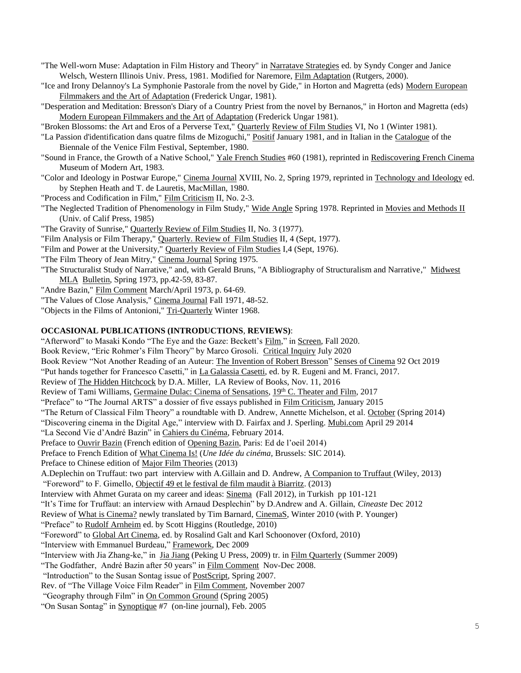- "The Well-worn Muse: Adaptation in Film History and Theory" in Narratave Strategies ed. by Syndy Conger and Janice Welsch, Western Illinois Univ. Press, 1981. Modified for Naremore, Film Adaptation (Rutgers, 2000).
- "Ice and Irony Delannoy's La Symphonie Pastorale from the novel by Gide," in Horton and Magretta (eds) Modern European Filmmakers and the Art of Adaptation (Frederick Ungar, 1981).
- "Desperation and Meditation: Bresson's Diary of a Country Priest from the novel by Bernanos," in Horton and Magretta (eds) Modern European Filmmakers and the Art of Adaptation (Frederick Ungar 1981).
- "Broken Blossoms: the Art and Eros of a Perverse Text," Quarterly Review of Film Studies VI, No 1 (Winter 1981).
- "La Passion d'identification dans quatre films de Mizoguchi," Positif January 1981, and in Italian in the Catalogue of the Biennale of the Venice Film Festival, September, 1980.
- "Sound in France, the Growth of a Native School," Yale French Studies #60 (1981), reprinted in Rediscovering French Cinema Museum of Modern Art, 1983.
- "Color and Ideology in Postwar Europe," Cinema Journal XVIII, No. 2, Spring 1979, reprinted in Technology and Ideology ed. by Stephen Heath and T. de Lauretis, MacMillan, 1980.
- "Process and Codification in Film," Film Criticism II, No. 2-3.
- "The Neglected Tradition of Phenomenology in Film Study," Wide Angle Spring 1978. Reprinted in Movies and Methods II (Univ. of Calif Press, 1985)
- "The Gravity of Sunrise," Quarterly Review of Film Studies II, No. 3 (1977).
- "Film Analysis or Film Therapy," Quarterly. Review of Film Studies II, 4 (Sept, 1977).
- "Film and Power at the University," Quarterly Review of Film Studies I,4 (Sept, 1976).
- "The Film Theory of Jean Mitry," Cinema Journal Spring 1975.
- "The Structuralist Study of Narrative," and, with Gerald Bruns, "A Bibliography of Structuralism and Narrative," Midwest MLA Bulletin, Spring 1973, pp.42-59, 83-87.
- "Andre Bazin," Film Comment March/April 1973, p. 64-69.
- "The Values of Close Analysis," Cinema Journal Fall 1971, 48-52.
- "Objects in the Films of Antonioni," Tri-Quarterly Winter 1968.

### **OCCASIONAL PUBLICATIONS (INTRODUCTIONS**, **REVIEWS)**:

"Afterword" to Masaki Kondo "The Eye and the Gaze: Beckett's Film," in Screen, Fall 2020. Book Review, "Eric Rohmer's Film Theory" by Marco Grosoli. Critical Inquiry July 2020 Book Review "Not Another Reading of an Auteur: The Invention of Robert Bresson" Senses of Cinema 92 Oct 2019 "Put hands together for Francesco Casetti," in La Galassia Casetti, ed. by R. Eugeni and M. Franci, 2017. Review of The Hidden Hitchcock by D.A. Miller, LA Review of Books, Nov. 11, 2016 Review of Tami Williams, Germaine Dulac: Cinema of Sensations, 19th C. Theater and Film, 2017 "Preface" to "The Journal ARTS" a dossier of five essays published in Film Criticism, January 2015 "The Return of Classical Film Theory" a roundtable with D. Andrew, Annette Michelson, et al. October (Spring 2014) "Discovering cinema in the Digital Age," interview with D. Fairfax and J. Sperling. Mubi.com April 29 2014 "La Second Vie d'André Bazin" in Cahiers du Cinéma, February 2014. Preface to Ouvrir Bazin (French edition of Opening Bazin, Paris: Ed de l'oeil 2014) Preface to French Edition of What Cinema Is! (*Une Idée du cinéma,* Brussels: SIC 2014). Preface to Chinese edition of Major Film Theories (2013) A.Deplechin on Truffaut: two part interview with A.Gillain and D. Andrew, A Companion to Truffaut (Wiley, 2013) "Foreword" to F. Gimello, Objectif 49 et le festival de film maudit à Biarritz. (2013) Interview with Ahmet Gurata on my career and ideas: Sinema (Fall 2012), in Turkish pp 101-121 "It's Time for Truffaut: an interview with Arnaud Desplechin" by D.Andrew and A. Gillain, *Cineaste* Dec 2012 Review of What is Cinema? newly translated by Tim Barnard, CinemaS, Winter 2010 (with P. Younger) "Preface" to Rudolf Arnheim ed. by Scott Higgins (Routledge, 2010) "Foreword" to Global Art Cinema, ed. by Rosalind Galt and Karl Schoonover (Oxford, 2010) "Interview with Emmanuel Burdeau," Framework, Dec 2009 "Interview with Jia Zhang-ke," in Jia Jiang (Peking U Press, 2009) tr. in Film Quarterly (Summer 2009) "The Godfather, André Bazin after 50 years" in Film Comment Nov-Dec 2008. "Introduction" to the Susan Sontag issue of PostScript, Spring 2007. Rev. of "The Village Voice Film Reader" in Film Comment, November 2007

- "Geography through Film" in On Common Ground (Spring 2005)
- "On Susan Sontag" in Synoptique #7 (on-line journal), Feb. 2005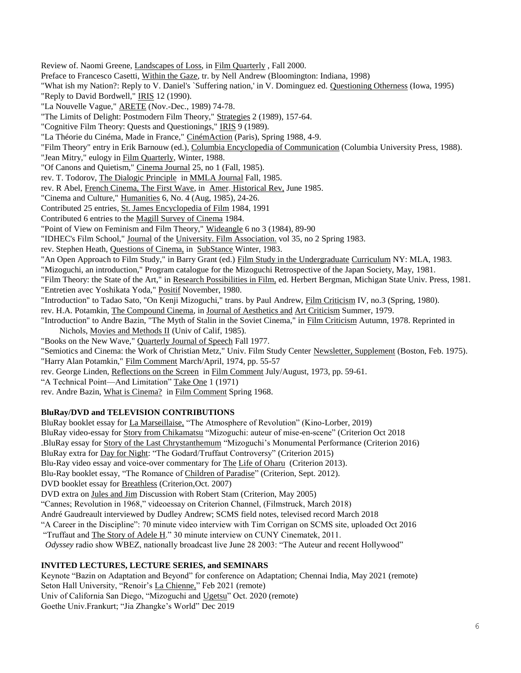Review of. Naomi Greene, Landscapes of Loss, in Film Quarterly , Fall 2000. Preface to Francesco Casetti, Within the Gaze, tr. by Nell Andrew (Bloomington: Indiana, 1998) "What ish my Nation?: Reply to V. Daniel's `Suffering nation,' in V. Dominguez ed. Questioning Otherness (Iowa, 1995) "Reply to David Bordwell," IRIS 12 (1990). "La Nouvelle Vague," ARETE (Nov.-Dec., 1989) 74-78. "The Limits of Delight: Postmodern Film Theory," Strategies 2 (1989), 157-64. "Cognitive Film Theory: Quests and Questionings," IRIS 9 (1989). "La Théorie du Cinéma, Made in France," CinémAction (Paris), Spring 1988, 4-9. "Film Theory" entry in Erik Barnouw (ed.), Columbia Encyclopedia of Communication (Columbia University Press, 1988). "Jean Mitry," eulogy in Film Quarterly, Winter, 1988. "Of Canons and Quietism," Cinema Journal 25, no 1 (Fall, 1985). rev. T. Todorov, The Dialogic Principle in MMLA Journal Fall, 1985. rev. R Abel, French Cinema, The First Wave, in Amer. Historical Rev, June 1985. "Cinema and Culture," Humanities 6, No. 4 (Aug, 1985), 24-26. Contributed 25 entries, St. James Encyclopedia of Film 1984, 1991 Contributed 6 entries to the Magill Survey of Cinema 1984. "Point of View on Feminism and Film Theory," Wideangle 6 no 3 (1984), 89-90 "IDHEC's Film School," Journal of the University. Film Association. vol 35, no 2 Spring 1983. rev. Stephen Heath, Questions of Cinema, in SubStance Winter, 1983. "An Open Approach to Film Study," in Barry Grant (ed.) Film Study in the Undergraduate Curriculum NY: MLA, 1983. "Mizoguchi, an introduction," Program catalogue for the Mizoguchi Retrospective of the Japan Society, May, 1981. "Film Theory: the State of the Art," in Research Possibilities in Film, ed. Herbert Bergman, Michigan State Univ. Press, 1981. "Entretien avec Yoshikata Yoda," Positif November, 1980. "Introduction" to Tadao Sato, "On Kenji Mizoguchi," trans. by Paul Andrew, Film Criticism IV, no.3 (Spring, 1980). rev. H.A. Potamkin, The Compound Cinema, in Journal of Aesthetics and Art Criticism Summer, 1979. "Introduction" to Andre Bazin, "The Myth of Stalin in the Soviet Cinema," in Film Criticism Autumn, 1978. Reprinted in Nichols, Movies and Methods II (Univ of Calif, 1985). "Books on the New Wave," Quarterly Journal of Speech Fall 1977. "Semiotics and Cinema: the Work of Christian Metz," Univ. Film Study Center Newsletter, Supplement (Boston, Feb. 1975). "Harry Alan Potamkin," Film Comment March/April, 1974, pp. 55-57 rev. George Linden, Reflections on the Screen in Film Comment July/August, 1973, pp. 59-61. "A Technical Point—And Limitation" Take One 1 (1971) rev. Andre Bazin, What is Cinema? in Film Comment Spring 1968.

# **BluRay/DVD and TELEVISION CONTRIBUTIONS**

BluRay booklet essay for La Marseillaise, "The Atmosphere of Revolution" (Kino-Lorber, 2019) BluRay video-essay for Story from Chikamatsu "Mizoguchi: auteur of mise-en-scene" (Criterion Oct 2018 .BluRay essay for Story of the Last Chrystanthemum "Mizoguchi's Monumental Performance (Criterion 2016) BluRay extra for Day for Night: "The Godard/Truffaut Controversy" (Criterion 2015) Blu-Ray video essay and voice-over commentary for The Life of Oharu (Criterion 2013). Blu-Ray booklet essay, "The Romance of Children of Paradise" (Criterion, Sept. 2012). DVD booklet essay for Breathless (Criterion,Oct. 2007) DVD extra on Jules and Jim Discussion with Robert Stam (Criterion, May 2005) "Cannes; Revolution in 1968," videoessay on Criterion Channel, (Filmstruck, March 2018) André Gaudreault interviewed by Dudley Andrew; SCMS field notes, televised record March 2018 "A Career in the Discipline": 70 minute video interview with Tim Corrigan on SCMS site, uploaded Oct 2016 "Truffaut and The Story of Adele H." 30 minute interview on CUNY Cinematek, 2011. *Odyssey* radio show WBEZ, nationally broadcast live June 28 2003: "The Auteur and recent Hollywood"

# **INVITED LECTURES, LECTURE SERIES, and SEMINARS**

Keynote "Bazin on Adaptation and Beyond" for conference on Adaptation; Chennai India, May 2021 (remote) Seton Hall University, "Renoir's La Chienne," Feb 2021 (remote) Univ of California San Diego, "Mizoguchi and Ugetsu" Oct. 2020 (remote) Goethe Univ.Frankurt; "Jia Zhangke's World" Dec 2019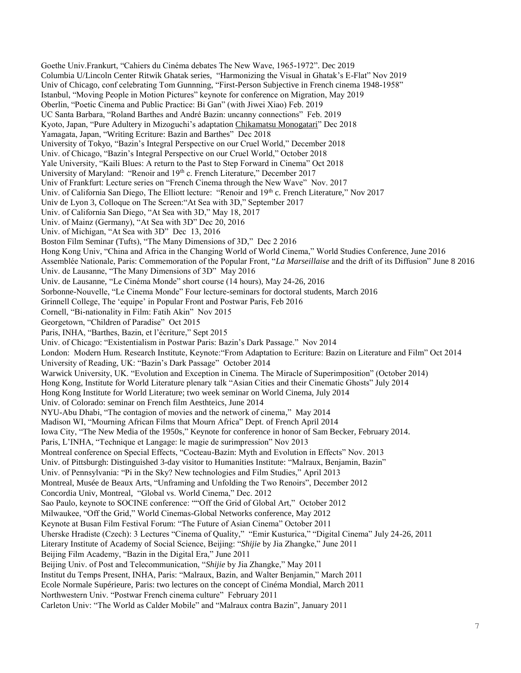Goethe Univ.Frankurt, "Cahiers du Cinéma debates The New Wave, 1965-1972". Dec 2019 Columbia U/Lincoln Center Ritwik Ghatak series, "Harmonizing the Visual in Ghatak's E-Flat" Nov 2019 Univ of Chicago, conf celebrating Tom Gunnning, "First-Person Subjective in French cinema 1948-1958" Istanbul, "Moving People in Motion Pictures" keynote for conference on Migration, May 2019 Oberlin, "Poetic Cinema and Public Practice: Bi Gan" (with Jiwei Xiao) Feb. 2019 UC Santa Barbara, "Roland Barthes and André Bazin: uncanny connections" Feb. 2019 Kyoto, Japan, "Pure Adultery in Mizoguchi's adaptation Chikamatsu Monogatari" Dec 2018 Yamagata, Japan, "Writing Ecriture: Bazin and Barthes" Dec 2018 University of Tokyo, "Bazin's Integral Perspective on our Cruel World," December 2018 Univ. of Chicago, "Bazin's Integral Perspective on our Cruel World," October 2018 Yale University, "Kaili Blues: A return to the Past to Step Forward in Cinema" Oct 2018 University of Maryland: "Renoir and 19th c. French Literature," December 2017 Univ of Frankfurt: Lecture series on "French Cinema through the New Wave" Nov. 2017 Univ. of California San Diego, The Elliott lecture: "Renoir and 19th c. French Literature," Nov 2017 Univ de Lyon 3, Colloque on The Screen:"At Sea with 3D," September 2017 Univ. of California San Diego, "At Sea with 3D," May 18, 2017 Univ. of Mainz (Germany), "At Sea with 3D" Dec 20, 2016 Univ. of Michigan, "At Sea with 3D" Dec 13, 2016 Boston Film Seminar (Tufts), "The Many Dimensions of 3D," Dec 2 2016 Hong Kong Univ, "China and Africa in the Changing World of World Cinema," World Studies Conference, June 2016 Assemblée Nationale, Paris: Commemoration of the Popular Front, "*La Marseillaise* and the drift of its Diffusion" June 8 2016 Univ. de Lausanne, "The Many Dimensions of 3D" May 2016 Univ. de Lausanne, "Le Cinéma Monde" short course (14 hours), May 24-26, 2016 Sorbonne-Nouvelle, "Le Cinema Monde" Four lecture-seminars for doctoral students, March 2016 Grinnell College, The 'equipe' in Popular Front and Postwar Paris, Feb 2016 Cornell, "Bi-nationality in Film: Fatih Akin" Nov 2015 Georgetown, "Children of Paradise" Oct 2015 Paris, INHA, "Barthes, Bazin, et l'écriture," Sept 2015 Univ. of Chicago: "Existentialism in Postwar Paris: Bazin's Dark Passage." Nov 2014 London: Modern Hum. Research Institute, Keynote:"From Adaptation to Ecriture: Bazin on Literature and Film" Oct 2014 University of Reading, UK: "Bazin's Dark Passage" October 2014 Warwick University, UK. "Evolution and Exception in Cinema. The Miracle of Superimposition" (October 2014) Hong Kong, Institute for World Literature plenary talk "Asian Cities and their Cinematic Ghosts" July 2014 Hong Kong Institute for World Literature; two week seminar on World Cinema, July 2014 Univ. of Colorado: seminar on French film Aesthteics, June 2014 NYU-Abu Dhabi, "The contagion of movies and the network of cinema," May 2014 Madison WI, "Mourning African Films that Mourn Africa" Dept. of French April 2014 Iowa City, "The New Media of the 1950s," Keynote for conference in honor of Sam Becker, February 2014. Paris, L'INHA, "Technique et Langage: le magie de surimpression" Nov 2013 Montreal conference on Special Effects, "Cocteau-Bazin: Myth and Evolution in Effects" Nov. 2013 Univ. of Pittsburgh: Distinguished 3-day visitor to Humanities Institute: "Malraux, Benjamin, Bazin" Univ. of Pennsylvania: "Pi in the Sky? New technologies and Film Studies," April 2013 Montreal, Musée de Beaux Arts, "Unframing and Unfolding the Two Renoirs", December 2012 Concordia Univ, Montreal, "Global vs. World Cinema," Dec. 2012 Sao Paulo, keynote to SOCINE conference: ""Off the Grid of Global Art," October 2012 Milwaukee, "Off the Grid," World Cinemas-Global Networks conference, May 2012 Keynote at Busan Film Festival Forum: "The Future of Asian Cinema" October 2011 Uherske Hradiste (Czech): 3 Lectures "Cinema of Quality," "Emir Kusturica," "Digital Cinema" July 24-26, 2011 Literary Institute of Academy of Social Science, Beijing: "*Shijie* by Jia Zhangke," June 2011 Beijing Film Academy, "Bazin in the Digital Era," June 2011 Beijing Univ. of Post and Telecommunication, "*Shijie* by Jia Zhangke," May 2011 Institut du Temps Present, INHA, Paris: "Malraux, Bazin, and Walter Benjamin," March 2011 Ecole Normale Supérieure, Paris: two lectures on the concept of Cinéma Mondial, March 2011 Northwestern Univ. "Postwar French cinema culture" February 2011 Carleton Univ: "The World as Calder Mobile" and "Malraux contra Bazin", January 2011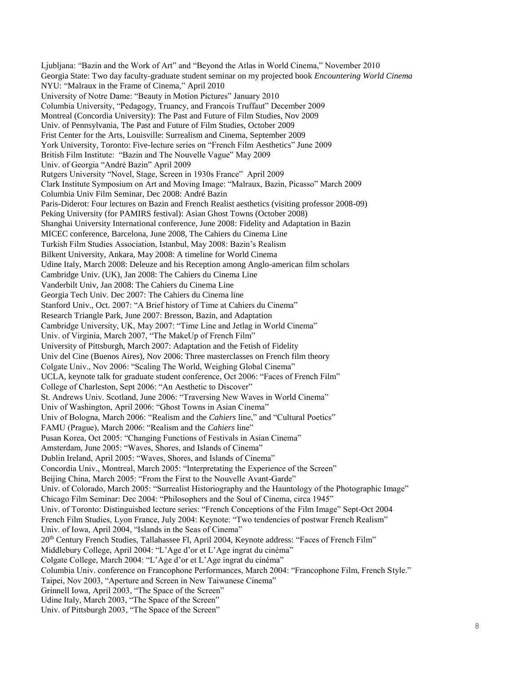Ljubljana: "Bazin and the Work of Art" and "Beyond the Atlas in World Cinema," November 2010 Georgia State: Two day faculty-graduate student seminar on my projected book *Encountering World Cinema* NYU: "Malraux in the Frame of Cinema," April 2010 University of Notre Dame: "Beauty in Motion Pictures" January 2010 Columbia University, "Pedagogy, Truancy, and Francois Truffaut" December 2009 Montreal (Concordia University): The Past and Future of Film Studies, Nov 2009 Univ. of Pennsylvania, The Past and Future of Film Studies, October 2009 Frist Center for the Arts, Louisville: Surrealism and Cinema, September 2009 York University, Toronto: Five-lecture series on "French Film Aesthetics" June 2009 British Film Institute: "Bazin and The Nouvelle Vague" May 2009 Univ. of Georgia "André Bazin" April 2009 Rutgers University "Novel, Stage, Screen in 1930s France" April 2009 Clark Institute Symposium on Art and Moving Image: "Malraux, Bazin, Picasso" March 2009 Columbia Univ Film Seminar, Dec 2008: André Bazin Paris-Diderot: Four lectures on Bazin and French Realist aesthetics (visiting professor 2008-09) Peking University (for PAMIRS festival): Asian Ghost Towns (October 2008) Shanghai University International conference, June 2008: Fidelity and Adaptation in Bazin MICEC conference, Barcelona, June 2008, The Cahiers du Cinema Line Turkish Film Studies Association, Istanbul, May 2008: Bazin's Realism Bilkent University, Ankara, May 2008: A timeline for World Cinema Udine Italy, March 2008: Deleuze and his Reception among Anglo-american film scholars Cambridge Univ. (UK), Jan 2008: The Cahiers du Cinema Line Vanderbilt Univ, Jan 2008: The Cahiers du Cinema Line Georgia Tech Univ. Dec 2007: The Cahiers du Cinema line Stanford Univ., Oct. 2007: "A Brief history of Time at Cahiers du Cinema" Research Triangle Park, June 2007: Bresson, Bazin, and Adaptation Cambridge University, UK, May 2007: "Time Line and Jetlag in World Cinema" Univ. of Virginia, March 2007, "The MakeUp of French Film" University of Pittsburgh, March 2007: Adaptation and the Fetish of Fidelity Univ del Cine (Buenos Aires), Nov 2006: Three masterclasses on French film theory Colgate Univ., Nov 2006: "Scaling The World, Weighing Global Cinema" UCLA, keynote talk for graduate student conference, Oct 2006: "Faces of French Film" College of Charleston, Sept 2006: "An Aesthetic to Discover" St. Andrews Univ. Scotland, June 2006: "Traversing New Waves in World Cinema" Univ of Washington, April 2006: "Ghost Towns in Asian Cinema" Univ of Bologna, March 2006: "Realism and the *Cahiers* line," and "Cultural Poetics" FAMU (Prague), March 2006: "Realism and the *Cahiers* line" Pusan Korea, Oct 2005: "Changing Functions of Festivals in Asian Cinema" Amsterdam, June 2005: "Waves, Shores, and Islands of Cinema" Dublin Ireland, April 2005: "Waves, Shores, and Islands of Cinema" Concordia Univ., Montreal, March 2005: "Interpretating the Experience of the Screen" Beijing China, March 2005: "From the First to the Nouvelle Avant-Garde" Univ. of Colorado, March 2005: "Surrealist Historiography and the Hauntology of the Photographic Image" Chicago Film Seminar: Dec 2004: "Philosophers and the Soul of Cinema, circa 1945" Univ. of Toronto: Distinguished lecture series: "French Conceptions of the Film Image" Sept-Oct 2004 French Film Studies, Lyon France, July 2004: Keynote: "Two tendencies of postwar French Realism" Univ. of Iowa, April 2004, "Islands in the Seas of Cinema" 20th Century French Studies, Tallahassee Fl, April 2004, Keynote address: "Faces of French Film" Middlebury College, April 2004: "L'Age d'or et L'Age ingrat du cinéma" Colgate College, March 2004: "L'Age d'or et L'Age ingrat du cinéma" Columbia Univ. conference on Francophone Performances, March 2004: "Francophone Film, French Style." Taipei, Nov 2003, "Aperture and Screen in New Taiwanese Cinema" Grinnell Iowa, April 2003, "The Space of the Screen" Udine Italy, March 2003, "The Space of the Screen" Univ. of Pittsburgh 2003, "The Space of the Screen"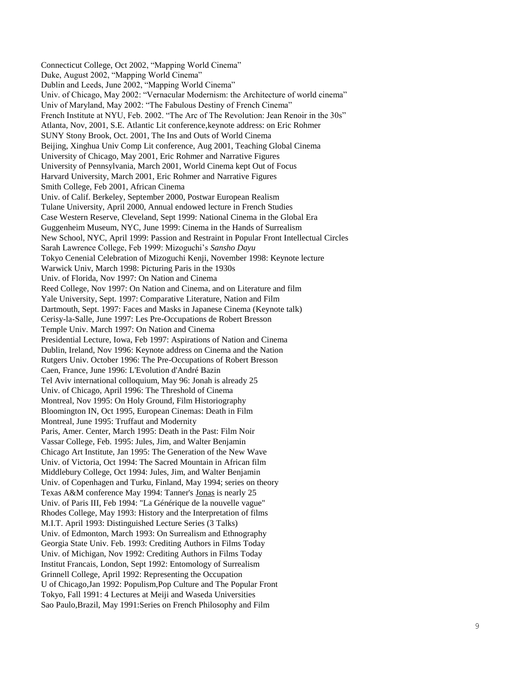Connecticut College, Oct 2002, "Mapping World Cinema" Duke, August 2002, "Mapping World Cinema" Dublin and Leeds, June 2002, "Mapping World Cinema" Univ. of Chicago, May 2002: "Vernacular Modernism: the Architecture of world cinema" Univ of Maryland, May 2002: "The Fabulous Destiny of French Cinema" French Institute at NYU, Feb. 2002. "The Arc of The Revolution: Jean Renoir in the 30s" Atlanta, Nov, 2001, S.E. Atlantic Lit conference,keynote address: on Eric Rohmer SUNY Stony Brook, Oct. 2001, The Ins and Outs of World Cinema Beijing, Xinghua Univ Comp Lit conference, Aug 2001, Teaching Global Cinema University of Chicago, May 2001, Eric Rohmer and Narrative Figures University of Pennsylvania, March 2001, World Cinema kept Out of Focus Harvard University, March 2001, Eric Rohmer and Narrative Figures Smith College, Feb 2001, African Cinema Univ. of Calif. Berkeley, September 2000, Postwar European Realism Tulane University, April 2000, Annual endowed lecture in French Studies Case Western Reserve, Cleveland, Sept 1999: National Cinema in the Global Era Guggenheim Museum, NYC, June 1999: Cinema in the Hands of Surrealism New School, NYC, April 1999: Passion and Restraint in Popular Front Intellectual Circles Sarah Lawrence College, Feb 1999: Mizoguchi's *Sansho Dayu* Tokyo Cenenial Celebration of Mizoguchi Kenji, November 1998: Keynote lecture Warwick Univ, March 1998: Picturing Paris in the 1930s Univ. of Florida, Nov 1997: On Nation and Cinema Reed College, Nov 1997: On Nation and Cinema, and on Literature and film Yale University, Sept. 1997: Comparative Literature, Nation and Film Dartmouth, Sept. 1997: Faces and Masks in Japanese Cinema (Keynote talk) Cerisy -la -Salle, June 1997: Les Pre -Occupations de Robert Bresson Temple Univ. March 1997: On Nation and Cinema Presidential Lecture, Iowa, Feb 1997: Aspirations of Nation and Cinema Dublin, Ireland, Nov 1996: Keynote address on Cinema and the Nation Rutgers Univ. October 1996: The Pre -Occupations of Robert Bresson Caen, France, June 1996: L'Evolution d'André Bazin Tel Aviv international colloquium, May 96: Jonah is already 25 Univ. of Chicago, April 1996: The Threshold of Cinema Montreal, Nov 1995: On Holy Ground, Film Historiography Bloomington IN, Oct 1995, European Cinemas: Death in Film Montreal, June 1995: Truffaut and Modernit y Paris, Amer. Center, March 1995: Death in the Past: Film Noir Vassar College, Feb. 1995: Jules, Jim, and Walter Benjamin Chicago Art Institute, Jan 1995: The Generation of the New Wave Univ. of Victoria, Oct 1994: The Sacred Mountain in African film Middlebury College, Oct 1994: Jules, Jim, and Walter Benjamin Univ. of Copenhagen and Turku, Finland, May 1994; series on theory Texas A&M conference May 1994: Tanner's Jonas is nearly 25 Univ. of Paris III, Feb 1994: "La Générique de la nouvelle vague" Rhodes College, May 1993: History and the Interpretation of films M.I.T. April 1993: Distinguished Lecture Series (3 Talks) Univ. of Edmonton, March 1993: On Surrealism and Ethnography Georgia State Univ. Feb. 1993: Crediting Authors in Films Today Univ. of Michigan, Nov 1992: Crediting Authors in Films Today Institut Francais, London, Sept 1992: Entomology of Surrealism Grinnell College, April 1992: Representing the Occupation U of Chicago,Jan 1992: Populism,Pop Culture and The Popular Front Tokyo, Fall 1991: 4 Lectures at Meiji and Waseda Universities Sao Paulo,Brazil, May 1991:Series on French Philosophy and Film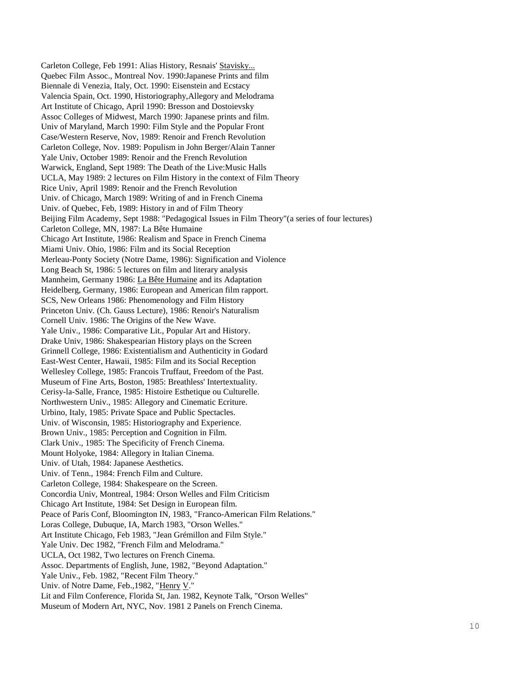Carleton College, Feb 1991: Alias History, Resnais' Stavisky... Quebec Film Assoc., Montreal Nov. 1990:Japanese Prints and film Biennale di Venezia, Italy, Oct. 1990: Eisenstein and Ecstacy Valencia Spain, Oct. 1990, Historiography,Allegory and Melodrama Art Institute of Chicago, April 1990: Bresson and Dostoievsky Assoc Colleges of Midwest, March 1990: Japanese prints and film. Univ of Maryland, March 1990: Film Style and the Popular Front Case/Western Reserve, Nov, 1989: Renoir and French Revolution Carleton College, Nov. 1989: Populism in John Berger/Alain Tanner Yale Univ, October 1989: Renoir and the French Revolution Warwick, England, Sept 1989: The Death of the Live:Music Halls UCLA, May 1989: 2 lectures on Film History in the context of Film Theory Rice Univ, April 1989: Renoir and the French Revolution Univ. of Chicago, March 1989: Writing of and in French Cinema Univ. of Quebec, Feb, 1989: History in and of Film Theory Beijing Film Academy, Sept 1988: "Pedagogical Issues in Film Theory"(a series of four lectures) Carleton College, MN, 1987: La Bête Humaine Chicago Art Institute, 1986: Realism and Space in French Cinema Miami Univ. Ohio, 1986: Film and its Social Reception Merleau-Ponty Society (Notre Dame, 1986): Signification and Violence Long Beach St, 1986: 5 lectures on film and literary analysis Mannheim, Germany 1986: La Bête Humaine and its Adaptation Heidelberg, Germany, 1986: European and American film rapport. SCS, New Orleans 1986: Phenomenology and Film History Princeton Univ. (Ch. Gauss Lecture), 1986: Renoir's Naturalism Cornell Univ. 1986: The Origins of the New Wave. Yale Univ., 1986: Comparative Lit., Popular Art and History. Drake Univ, 1986: Shakespearian History plays on the Screen Grinnell College, 1986: Existentialism and Authenticity in Godard East-West Center, Hawaii, 1985: Film and its Social Reception Wellesley College, 1985: Francois Truffaut, Freedom of the Past. Museum of Fine Arts, Boston, 1985: Breathless' Intertextuality. Cerisy-la-Salle, France, 1985: Histoire Esthetique ou Culturelle. Northwestern Univ., 1985: Allegory and Cinematic Ecriture. Urbino, Italy, 1985: Private Space and Public Spectacles. Univ. of Wisconsin, 1985: Historiography and Experience. Brown Univ., 1985: Perception and Cognition in Film. Clark Univ., 1985: The Specificity of French Cinema. Mount Holyoke, 1984: Allegory in Italian Cinema. Univ. of Utah, 1984: Japanese Aesthetics. Univ. of Tenn., 1984: French Film and Culture. Carleton College, 1984: Shakespeare on the Screen. Concordia Univ, Montreal, 1984: Orson Welles and Film Criticism Chicago Art Institute, 1984: Set Design in European film. Peace of Paris Conf, Bloomington IN, 1983, "Franco-American Film Relations." Loras College, Dubuque, IA, March 1983, "Orson Welles." Art Institute Chicago, Feb 1983, "Jean Grémillon and Film Style." Yale Univ. Dec 1982, "French Film and Melodrama." UCLA, Oct 1982, Two lectures on French Cinema. Assoc. Departments of English, June, 1982, "Beyond Adaptation." Yale Univ., Feb. 1982, "Recent Film Theory." Univ. of Notre Dame, Feb.,1982, "Henry V." Lit and Film Conference, Florida St, Jan. 1982, Keynote Talk, "Orson Welles" Museum of Modern Art, NYC, Nov. 1981 2 Panels on French Cinema.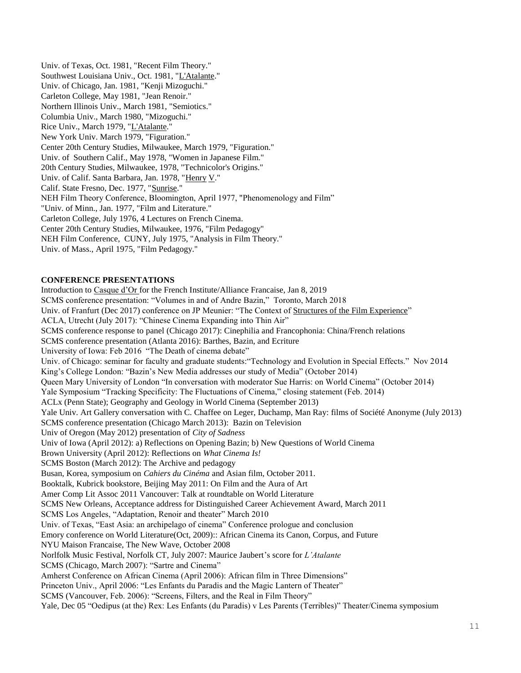Univ. of Texas, Oct. 1981, "Recent Film Theory." Southwest Louisiana Univ., Oct. 1981, "L'Atalante." Univ. of Chicago, Jan. 1981, "Kenji Mizoguchi." Carleton College, May 1981, "Jean Renoir." Northern Illinois Univ., March 1981, "Semiotics." Columbia Univ., March 1980, "Mizoguchi." Rice Univ., March 1979, "L'Atalante." New York Univ. March 1979, "Figuration." Center 20th Century Studies, Milwaukee, March 1979, "Figuration." Univ. of Southern Calif., May 1978, "Women in Japanese Film." 20th Century Studies, Milwaukee, 1978, "Technicolor's Origins." Univ. of Calif. Santa Barbara, Jan. 1978, "Henry V." Calif. State Fresno, Dec. 1977, "Sunrise." NEH Film Theory Conference, Bloomington, April 1977, "Phenomenology and Film" "Univ. of Minn., Jan. 1977, "Film and Literature." Carleton College, July 1976, 4 Lectures on French Cinema. Center 20th Century Studies, Milwaukee, 1976, "Film Pedagogy" NEH Film Conference, CUNY, July 1975, "Analysis in Film Theory." Univ. of Mass., April 1975, "Film Pedagogy."

### **CONFERENCE PRESENTATIONS**

Introduction to Casque d'Or for the French Institute/Alliance Francaise, Jan 8, 2019 SCMS conference presentation: "Volumes in and of Andre Bazin," Toronto, March 2018 Univ. of Franfurt (Dec 2017) conference on JP Meunier: "The Context of Structures of the Film Experience" ACLA, Utrecht (July 2017): "Chinese Cinema Expanding into Thin Air" SCMS conference response to panel (Chicago 2017): Cinephilia and Francophonia: China/French relations SCMS conference presentation (Atlanta 2016): Barthes, Bazin, and Ecriture University of Iowa: Feb 2016 "The Death of cinema debate" Univ. of Chicago: seminar for faculty and graduate students:"Technology and Evolution in Special Effects." Nov 2014 King's College London: "Bazin's New Media addresses our study of Media" (October 2014) Queen Mary University of London "In conversation with moderator Sue Harris: on World Cinema" (October 2014) Yale Symposium "Tracking Specificity: The Fluctuations of Cinema," closing statement (Feb. 2014) ACLx (Penn State); Geography and Geology in World Cinema (September 2013) Yale Univ. Art Gallery conversation with C. Chaffee on Leger, Duchamp, Man Ray: films of Société Anonyme (July 2013) SCMS conference presentation (Chicago March 2013): Bazin on Television Univ of Oregon (May 2012) presentation of *City of Sadness* Univ of Iowa (April 2012): a) Reflections on Opening Bazin; b) New Questions of World Cinema Brown University (April 2012): Reflections on *What Cinema Is!* SCMS Boston (March 2012): The Archive and pedagogy Busan, Korea, symposium on *Cahiers du Cinéma* and Asian film, October 2011. Booktalk, Kubrick bookstore, Beijing May 2011: On Film and the Aura of Art Amer Comp Lit Assoc 2011 Vancouver: Talk at roundtable on World Literature SCMS New Orleans, Acceptance address for Distinguished Career Achievement Award, March 2011 SCMS Los Angeles, "Adaptation, Renoir and theater" March 2010 Univ. of Texas, "East Asia: an archipelago of cinema" Conference prologue and conclusion Emory conference on World Literature(Oct, 2009):: African Cinema its Canon, Corpus, and Future NYU Maison Francaise, The New Wave, October 2008 Norlfolk Music Festival, Norfolk CT, July 2007: Maurice Jaubert's score for *L'Atalante* SCMS (Chicago, March 2007): "Sartre and Cinema" Amherst Conference on African Cinema (April 2006): African film in Three Dimensions" Princeton Univ., April 2006: "Les Enfants du Paradis and the Magic Lantern of Theater" SCMS (Vancouver, Feb. 2006): "Screens, Filters, and the Real in Film Theory" Yale, Dec 05 "Oedipus (at the) Rex: Les Enfants (du Paradis) v Les Parents (Terribles)" Theater/Cinema symposium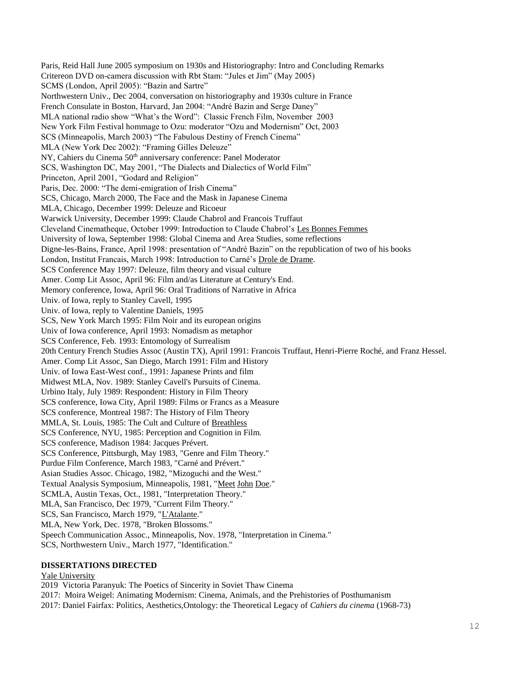Paris, Reid Hall June 2005 symposium on 1930s and Historiography: Intro and Concluding Remarks Critereon DVD on-camera discussion with Rbt Stam: "Jules et Jim" (May 2005) SCMS (London, April 2005): "Bazin and Sartre" Northwestern Univ., Dec 2004, conversation on historiography and 1930s culture in France French Consulate in Boston, Harvard, Jan 2004: "André Bazin and Serge Daney" MLA national radio show "What's the Word": Classic French Film, November 2003 New York Film Festival hommage to Ozu: moderator "Ozu and Modernism" Oct, 2003 SCS (Minneapolis, March 2003) "The Fabulous Destiny of French Cinema" MLA (New York Dec 2002): "Framing Gilles Deleuze" NY, Cahiers du Cinema 50<sup>th</sup> anniversary conference: Panel Moderator SCS, Washington DC, May 2001, "The Dialects and Dialectics of World Film" Princeton, April 2001, "Godard and Religion" Paris, Dec. 2000: "The demi-emigration of Irish Cinema" SCS, Chicago, March 2000, The Face and the Mask in Japanese Cinema MLA, Chicago, December 1999: Deleuze and Ricoeur Warwick University, December 1999: Claude Chabrol and Francois Truffaut Cleveland Cinematheque, October 1999: Introduction to Claude Chabrol's Les Bonnes Femmes University of Iowa, September 1998: Global Cinema and Area Studies, some reflections Digne-les-Bains, France, April 1998: presentation of "André Bazin" on the republication of two of his books London, Institut Francais, March 1998: Introduction to Carné's Drole de Drame. SCS Conference May 1997: Deleuze, film theory and visual culture Amer. Comp Lit Assoc, April 96: Film and/as Literature at Century's End. Memory conference, Iowa, April 96: Oral Traditions of Narrative in Africa Univ. of Iowa, reply to Stanley Cavell, 1995 Univ. of Iowa, reply to Valentine Daniels, 1995 SCS, New York March 1995: Film Noir and its european origins Univ of Iowa conference, April 1993: Nomadism as metaphor SCS Conference, Feb. 1993: Entomology of Surrealism 20th Century French Studies Assoc (Austin TX), April 1991: Francois Truffaut, Henri-Pierre Roché, and Franz Hessel. Amer. Comp Lit Assoc, San Diego, March 1991: Film and History Univ. of Iowa East-West conf., 1991: Japanese Prints and film Midwest MLA, Nov. 1989: Stanley Cavell's Pursuits of Cinema. Urbino Italy, July 1989: Respondent: History in Film Theory SCS conference, Iowa City, April 1989: Films or Francs as a Measure SCS conference, Montreal 1987: The History of Film Theory MMLA, St. Louis, 1985: The Cult and Culture of Breathless SCS Conference, NYU, 1985: Perception and Cognition in Film. SCS conference, Madison 1984: Jacques Prévert. SCS Conference, Pittsburgh, May 1983, "Genre and Film Theory." Purdue Film Conference, March 1983, "Carné and Prévert." Asian Studies Assoc. Chicago, 1982, "Mizoguchi and the West." Textual Analysis Symposium, Minneapolis, 1981, "Meet John Doe." SCMLA, Austin Texas, Oct., 1981, "Interpretation Theory." MLA, San Francisco, Dec 1979, "Current Film Theory." SCS, San Francisco, March 1979, "L'Atalante." MLA, New York, Dec. 1978, "Broken Blossoms." Speech Communication Assoc., Minneapolis, Nov. 1978, "Interpretation in Cinema." SCS, Northwestern Univ., March 1977, "Identification."

# **DISSERTATIONS DIRECTED**

# Yale University

2019 Victoria Paranyuk: The Poetics of Sincerity in Soviet Thaw Cinema

2017: Moira Weigel: Animating Modernism: Cinema, Animals, and the Prehistories of Posthumanism

2017: Daniel Fairfax: Politics, Aesthetics,Ontology: the Theoretical Legacy of *Cahiers du cinema* (1968-73)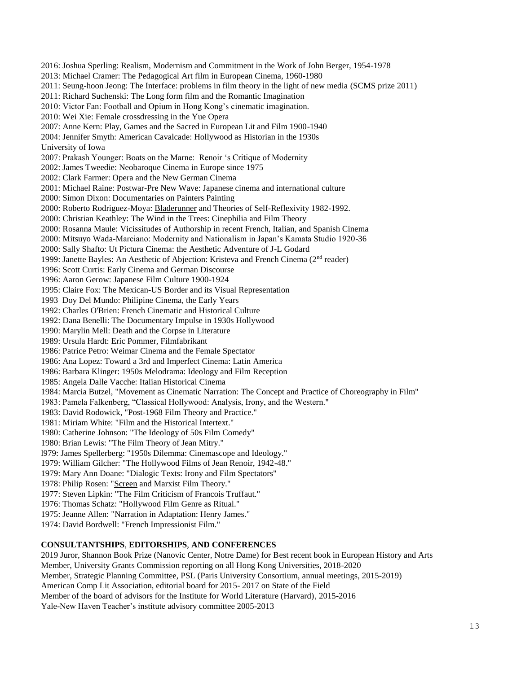2016: Joshua Sperling: Realism, Modernism and Commitment in the Work of John Berger, 1954-1978 2013: Michael Cramer: The Pedagogical Art film in European Cinema, 1960-1980 2011: Seung-hoon Jeong: The Interface: problems in film theory in the light of new media (SCMS prize 2011) 2011: Richard Suchenski: The Long form film and the Romantic Imagination 2010: Victor Fan: Football and Opium in Hong Kong's cinematic imagination. 2010: Wei Xie: Female crossdressing in the Yue Opera 2007: Anne Kern: Play, Games and the Sacred in European Lit and Film 1900-1940 2004: Jennifer Smyth: American Cavalcade: Hollywood as Historian in the 1930s University of Iowa 2007: Prakash Younger: Boats on the Marne: Renoir 's Critique of Modernity 2002: James Tweedie: Neobaroque Cinema in Europe since 1975 2002: Clark Farmer: Opera and the New German Cinema 2001: Michael Raine: Postwar-Pre New Wave: Japanese cinema and international culture 2000: Simon Dixon: Documentaries on Painters Painting 2000: Roberto Rodriguez-Moya: Bladerunner and Theories of Self-Reflexivity 1982-1992. 2000: Christian Keathley: The Wind in the Trees: Cinephilia and Film Theory 2000: Rosanna Maule: Vicissitudes of Authorship in recent French, Italian, and Spanish Cinema 2000: Mitsuyo Wada-Marciano: Modernity and Nationalism in Japan's Kamata Studio 1920-36 2000: Sally Shafto: Ut Pictura Cinema: the Aesthetic Adventure of J-L Godard 1999: Janette Bayles: An Aesthetic of Abjection: Kristeva and French Cinema (2nd reader) 1996: Scott Curtis: Early Cinema and German Discourse 1996: Aaron Gerow: Japanese Film Culture 1900-1924 1995: Claire Fox: The Mexican-US Border and its Visual Representation 1993 Doy Del Mundo: Philipine Cinema, the Early Years 1992: Charles O'Brien: French Cinematic and Historical Culture 1992: Dana Benelli: The Documentary Impulse in 1930s Hollywood 1990: Marylin Mell: Death and the Corpse in Literature 1989: Ursula Hardt: Eric Pommer, Filmfabrikant 1986: Patrice Petro: Weimar Cinema and the Female Spectator 1986: Ana Lopez: Toward a 3rd and Imperfect Cinema: Latin America 1986: Barbara Klinger: 1950s Melodrama: Ideology and Film Reception 1985: Angela Dalle Vacche: Italian Historical Cinema 1984: Marcia Butzel, "Movement as Cinematic Narration: The Concept and Practice of Choreography in Film" 1983: Pamela Falkenberg, "Classical Hollywood: Analysis, Irony, and the Western." 1983: David Rodowick, "Post-1968 Film Theory and Practice." 1981: Miriam White: "Film and the Historical Intertext." 1980: Catherine Johnson: "The Ideology of 50s Film Comedy" 1980: Brian Lewis: "The Film Theory of Jean Mitry." l979: James Spellerberg: "1950s Dilemma: Cinemascope and Ideology." 1979: William Gilcher: "The Hollywood Films of Jean Renoir, 1942-48." 1979: Mary Ann Doane: "Dialogic Texts: Irony and Film Spectators" 1978: Philip Rosen: "Screen and Marxist Film Theory." 1977: Steven Lipkin: "The Film Criticism of Francois Truffaut." 1976: Thomas Schatz: "Hollywood Film Genre as Ritual." 1975: Jeanne Allen: "Narration in Adaptation: Henry James." 1974: David Bordwell: "French Impressionist Film."

# **CONSULTANTSHIPS**, **EDITORSHIPS**, **AND CONFERENCES**

2019 Juror, Shannon Book Prize (Nanovic Center, Notre Dame) for Best recent book in European History and Arts Member, University Grants Commission reporting on all Hong Kong Universities, 2018-2020 Member, Strategic Planning Committee, PSL (Paris University Consortium, annual meetings, 2015-2019) American Comp Lit Association, editorial board for 2015- 2017 on State of the Field Member of the board of advisors for the Institute for World Literature (Harvard), 2015-2016 Yale-New Haven Teacher's institute advisory committee 2005-2013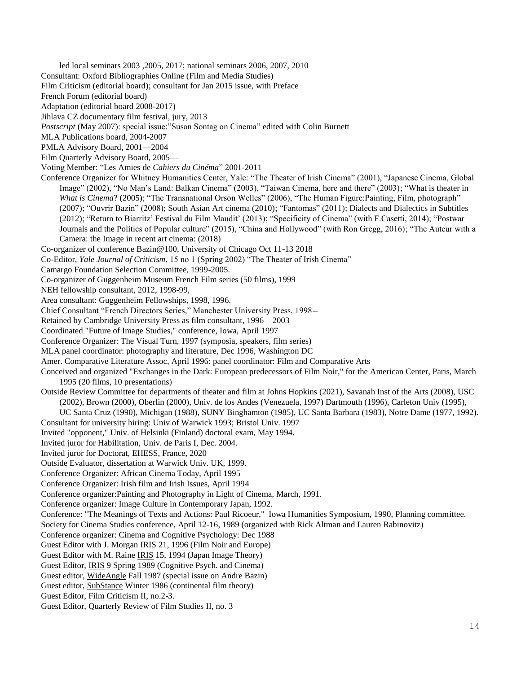led local seminars 2003 ,2005, 2017; national seminars 2006, 2007, 2010

Consultant: Oxford Bibliographies Online (Film and Media Studies)

Film Criticism (editorial board); consultant for Jan 2015 issue, with Preface

French Forum (editorial board)

Adaptation (editorial board 2008-2017)

Jihlava CZ documentary film festival, jury, 2013

*Postscript* (May 2007): special issue:"Susan Sontag on Cinema" edited with Colin Burnett

MLA Publications board, 2004-2007

PMLA Advisory Board, 2001—2004

Film Quarterly Advisory Board, 2005—

Voting Member: "Les Amies de *Cahiers du Cinéma*" 2001-2011

Conference Organizer for Whitney Humanities Center, Yale: "The Theater of Irish Cinema" (2001), "Japanese Cinema, Global Image" (2002), "No Man's Land: Balkan Cinema" (2003), "Taiwan Cinema, here and there" (2003); "What is theater in *What is Cinema*? (2005); "The Transnational Orson Welles" (2006), "The Human Figure:Painting, Film, photograph" (2007); "Ouvrir Bazin" (2008); South Asian Art cinema (2010); "Fantomas" (2011); Dialects and Dialectics in Subtitles (2012); "Return to Biarritz' Festival du Film Maudit' (2013); "Specificity of Cinema" (with F.Casetti, 2014); "Postwar Journals and the Politics of Popular culture" (2015), "China and Hollywood" (with Ron Gregg, 2016); "The Auteur with a Camera: the Image in recent art cinema: (2018)

Co-organizer of conference Bazin@100, University of Chicago Oct 11-13 2018

Co-Editor, *Yale Journal of Criticism*, 15 no 1 (Spring 2002) "The Theater of Irish Cinema"

Camargo Foundation Selection Committee, 1999-2005.

Co-organizer of Guggenheim Museum French Film series (50 films), 1999

NEH fellowship consultant, 2012, 1998-99,

Area consultant: Guggenheim Fellowships, 1998, 1996.

Chief Consultant "French Directors Series," Manchester University Press, 1998--

Retained by Cambridge University Press as film consultant, 1996—2003

Coordinated "Future of Image Studies," conference, Iowa, April 1997

Conference Organizer: The Visual Turn, 1997 (symposia, speakers, film series)

MLA panel coordinator: photography and literature, Dec 1996, Washington DC

Amer. Comparative Literature Assoc, April 1996: panel coordinator: Film and Comparative Arts

Conceived and organized "Exchanges in the Dark: European predecessors of Film Noir," for the American Center, Paris, March 1995 (20 films, 10 presentations)

- Outside Review Committee for departments of theater and film at Johns Hopkins (2021), Savanah Inst of the Arts (2008), USC (2002), Brown (2000), Oberlin (2000), Univ. de los Andes (Venezuela, 1997) Dartmouth (1996), Carleton Univ (1995),
	- UC Santa Cruz (1990), Michigan (1988), SUNY Binghamton (1985), UC Santa Barbara (1983), Notre Dame (1977, 1992).

Consultant for university hiring: Univ of Warwick 1993; Bristol Univ. 1997

Invited "opponent," Univ. of Helsinki (Finland) doctoral exam, May 1994.

Invited juror for Habilitation, Univ. de Paris I, Dec. 2004.

Invited juror for Doctorat, EHESS, France, 2020

Outside Evaluator, dissertation at Warwick Univ. UK, 1999.

Conference Organizer: African Cinema Today, April 1995

Conference Organizer: Irish film and Irish Issues, April 1994

Conference organizer:Painting and Photography in Light of Cinema, March, 1991.

Conference organizer: Image Culture in Contemporary Japan, 1992.

Conference: "The Meanings of Texts and Actions: Paul Ricoeur," Iowa Humanities Symposium, 1990, Planning committee.

Society for Cinema Studies conference, April 12-16, 1989 (organized with Rick Altman and Lauren Rabinovitz)

Conference organizer: Cinema and Cognitive Psychology: Dec 1988

Guest Editor with J. Morgan IRIS 21, 1996 (Film Noir and Europe)

Guest Editor with M. Raine IRIS 15, 1994 (Japan Image Theory)

Guest Editor, IRIS 9 Spring 1989 (Cognitive Psych. and Cinema)

Guest editor, WideAngle Fall 1987 (special issue on Andre Bazin)

Guest editor, SubStance Winter 1986 (continental film theory)

Guest Editor, Film Criticism II, no.2-3.

Guest Editor, Quarterly Review of Film Studies II, no. 3